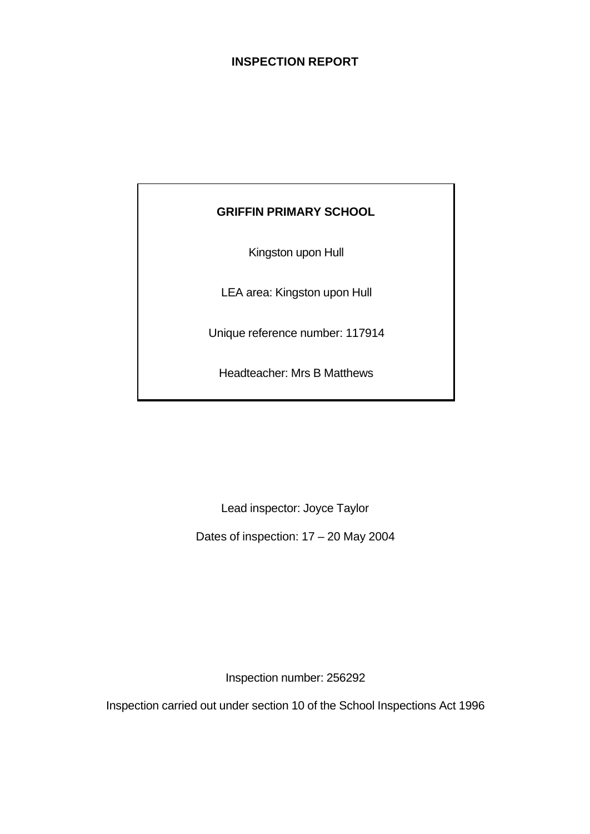# **INSPECTION REPORT**

# **GRIFFIN PRIMARY SCHOOL**

Kingston upon Hull

LEA area: Kingston upon Hull

Unique reference number: 117914

Headteacher: Mrs B Matthews

Lead inspector: Joyce Taylor

Dates of inspection: 17 – 20 May 2004

Inspection number: 256292

Inspection carried out under section 10 of the School Inspections Act 1996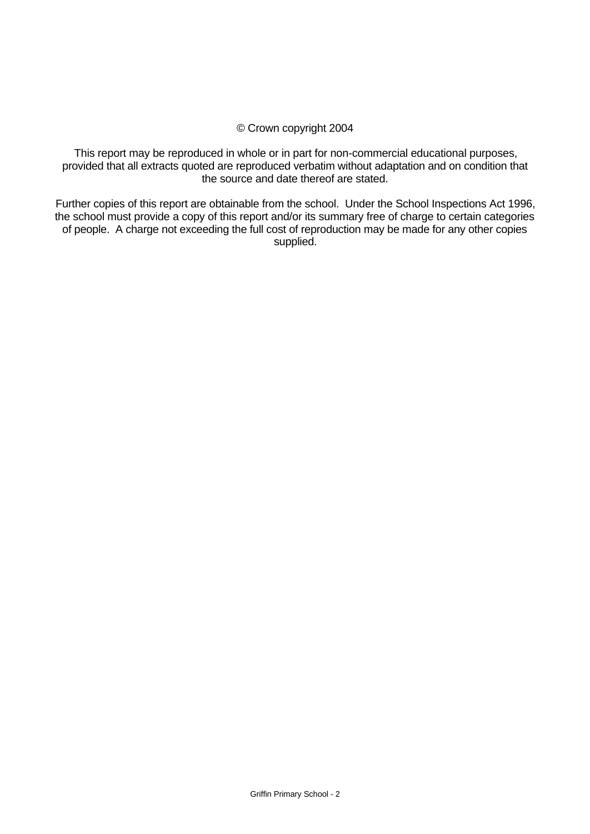#### © Crown copyright 2004

This report may be reproduced in whole or in part for non-commercial educational purposes, provided that all extracts quoted are reproduced verbatim without adaptation and on condition that the source and date thereof are stated.

Further copies of this report are obtainable from the school. Under the School Inspections Act 1996, the school must provide a copy of this report and/or its summary free of charge to certain categories of people. A charge not exceeding the full cost of reproduction may be made for any other copies supplied.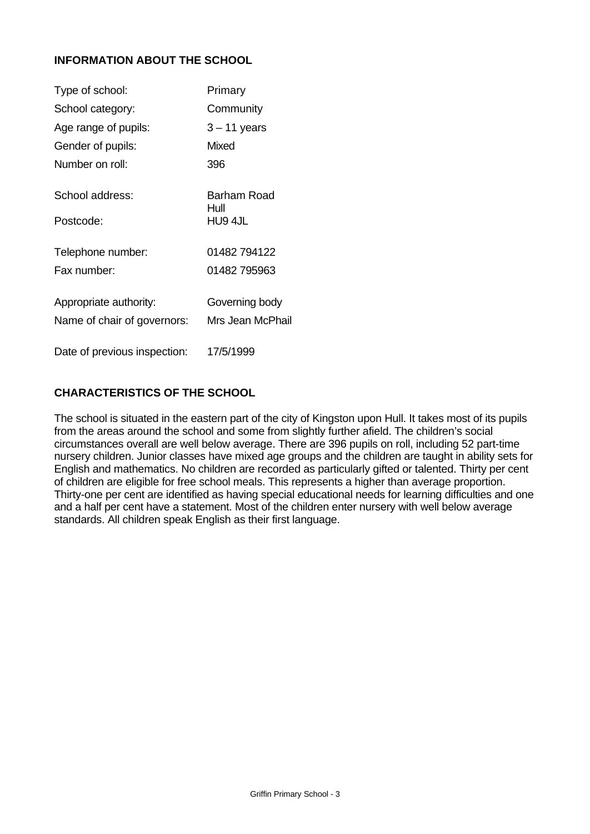# **INFORMATION ABOUT THE SCHOOL**

| Type of school:              | Primary             |
|------------------------------|---------------------|
| School category:             | Community           |
| Age range of pupils:         | $3 - 11$ years      |
| Gender of pupils:            | Mixed               |
| Number on roll:              | 396                 |
| School address:              | Barham Road<br>Hull |
| Postcode:                    | HU9 4JL             |
| Telephone number:            | 01482 794122        |
| Fax number:                  | 01482 795963        |
| Appropriate authority:       | Governing body      |
| Name of chair of governors:  | Mrs Jean McPhail    |
| Date of previous inspection: | 17/5/1999           |

# **CHARACTERISTICS OF THE SCHOOL**

The school is situated in the eastern part of the city of Kingston upon Hull. It takes most of its pupils from the areas around the school and some from slightly further afield. The children's social circumstances overall are well below average. There are 396 pupils on roll, including 52 part-time nursery children. Junior classes have mixed age groups and the children are taught in ability sets for English and mathematics. No children are recorded as particularly gifted or talented. Thirty per cent of children are eligible for free school meals. This represents a higher than average proportion. Thirty-one per cent are identified as having special educational needs for learning difficulties and one and a half per cent have a statement. Most of the children enter nursery with well below average standards. All children speak English as their first language.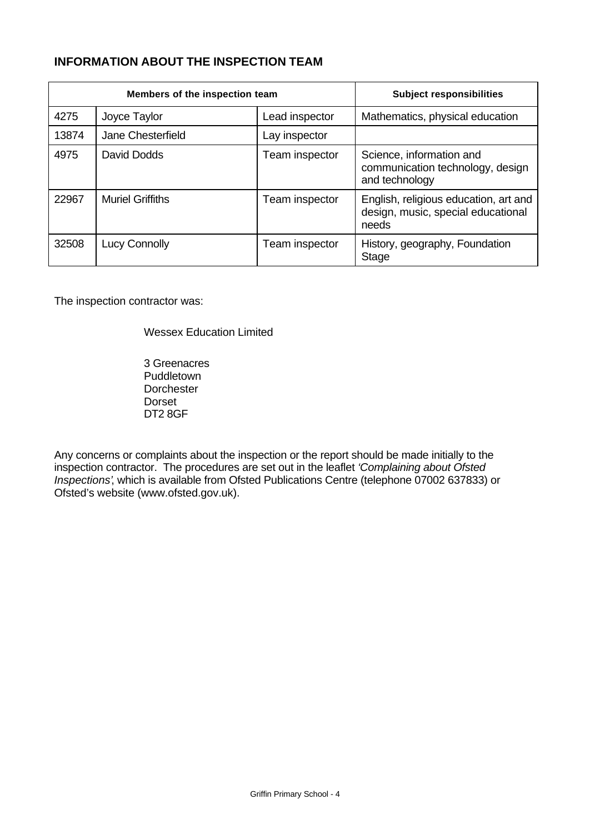# **INFORMATION ABOUT THE INSPECTION TEAM**

| Members of the inspection team |                         |                | <b>Subject responsibilities</b>                                                      |
|--------------------------------|-------------------------|----------------|--------------------------------------------------------------------------------------|
| 4275                           | Joyce Taylor            | Lead inspector | Mathematics, physical education                                                      |
| 13874                          | Jane Chesterfield       | Lay inspector  |                                                                                      |
| 4975                           | David Dodds             | Team inspector | Science, information and<br>communication technology, design<br>and technology       |
| 22967                          | <b>Muriel Griffiths</b> | Team inspector | English, religious education, art and<br>design, music, special educational<br>needs |
| 32508                          | Lucy Connolly           | Team inspector | History, geography, Foundation<br>Stage                                              |

The inspection contractor was:

Wessex Education Limited

3 Greenacres Puddletown **Dorchester** Dorset DT2 8GF

Any concerns or complaints about the inspection or the report should be made initially to the inspection contractor. The procedures are set out in the leaflet *'Complaining about Ofsted Inspections'*, which is available from Ofsted Publications Centre (telephone 07002 637833) or Ofsted's website (www.ofsted.gov.uk).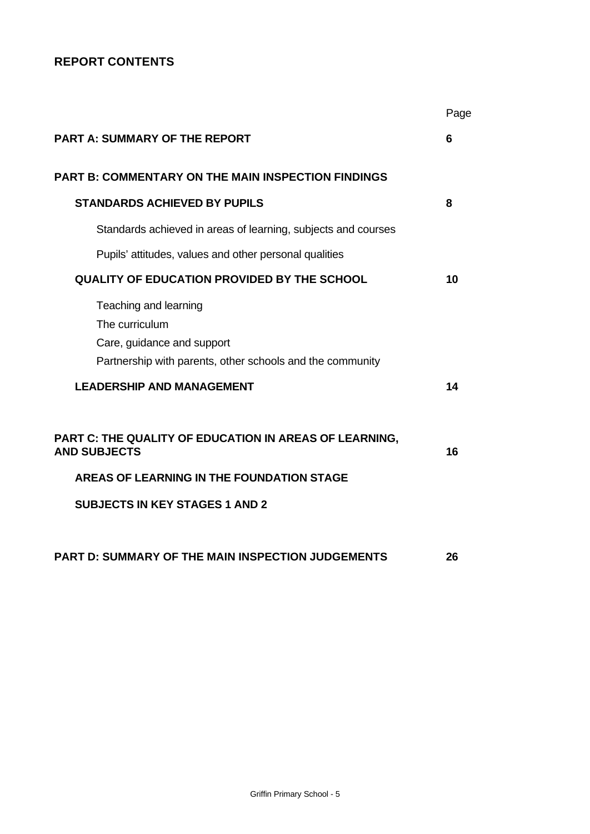# **REPORT CONTENTS**

|                                                                                                                                                                     | Page |
|---------------------------------------------------------------------------------------------------------------------------------------------------------------------|------|
| <b>PART A: SUMMARY OF THE REPORT</b>                                                                                                                                | 6    |
| <b>PART B: COMMENTARY ON THE MAIN INSPECTION FINDINGS</b>                                                                                                           |      |
| <b>STANDARDS ACHIEVED BY PUPILS</b>                                                                                                                                 | 8    |
| Standards achieved in areas of learning, subjects and courses                                                                                                       |      |
| Pupils' attitudes, values and other personal qualities                                                                                                              |      |
| <b>QUALITY OF EDUCATION PROVIDED BY THE SCHOOL</b>                                                                                                                  | 10   |
| Teaching and learning<br>The curriculum<br>Care, guidance and support<br>Partnership with parents, other schools and the community                                  |      |
| <b>LEADERSHIP AND MANAGEMENT</b>                                                                                                                                    | 14   |
| PART C: THE QUALITY OF EDUCATION IN AREAS OF LEARNING,<br><b>AND SUBJECTS</b><br>AREAS OF LEARNING IN THE FOUNDATION STAGE<br><b>SUBJECTS IN KEY STAGES 1 AND 2</b> | 16   |
|                                                                                                                                                                     |      |
| <b>PART D: SUMMARY OF THE MAIN INSPECTION JUDGEMENTS</b>                                                                                                            | 26   |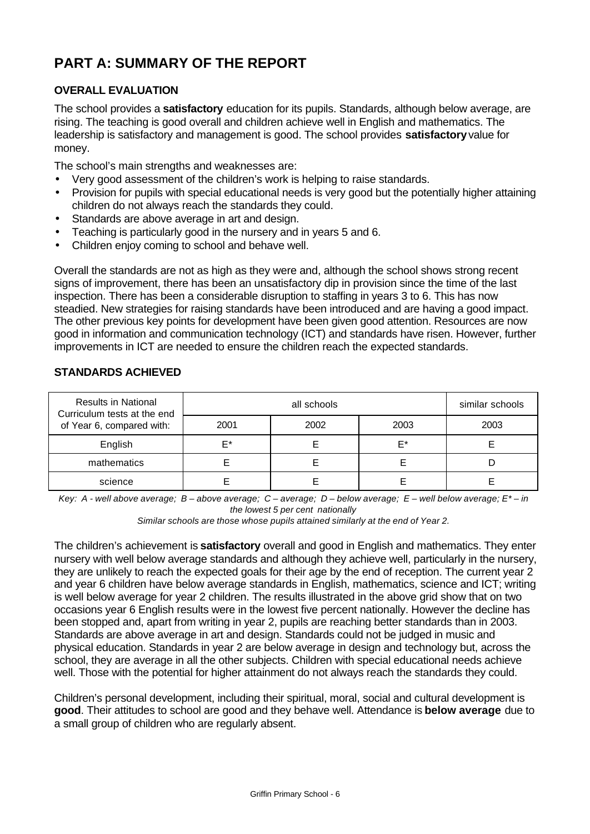# **PART A: SUMMARY OF THE REPORT**

# **OVERALL EVALUATION**

The school provides a **satisfactory** education for its pupils. Standards, although below average, are rising. The teaching is good overall and children achieve well in English and mathematics. The leadership is satisfactory and management is good. The school provides **satisfactory** value for money.

The school's main strengths and weaknesses are:

- Very good assessment of the children's work is helping to raise standards.
- Provision for pupils with special educational needs is very good but the potentially higher attaining children do not always reach the standards they could.
- Standards are above average in art and design.
- Teaching is particularly good in the nursery and in years 5 and 6.
- Children enjoy coming to school and behave well.

Overall the standards are not as high as they were and, although the school shows strong recent signs of improvement, there has been an unsatisfactory dip in provision since the time of the last inspection. There has been a considerable disruption to staffing in years 3 to 6. This has now steadied. New strategies for raising standards have been introduced and are having a good impact. The other previous key points for development have been given good attention. Resources are now good in information and communication technology (ICT) and standards have risen. However, further improvements in ICT are needed to ensure the children reach the expected standards.

| <b>Results in National</b><br>Curriculum tests at the end |      | similar schools |      |      |
|-----------------------------------------------------------|------|-----------------|------|------|
| of Year 6, compared with:                                 | 2001 | 2002            | 2003 | 2003 |
| English                                                   | F*   |                 | F*   |      |
| mathematics                                               |      |                 |      |      |
| science                                                   |      |                 |      |      |

#### **STANDARDS ACHIEVED**

*Key: A - well above average; B – above average; C – average; D – below average; E – well below average; E\* – in the lowest 5 per cent nationally*

*Similar schools are those whose pupils attained similarly at the end of Year 2.*

The children's achievement is **satisfactory** overall and good in English and mathematics. They enter nursery with well below average standards and although they achieve well, particularly in the nursery, they are unlikely to reach the expected goals for their age by the end of reception. The current year 2 and year 6 children have below average standards in English, mathematics, science and ICT; writing is well below average for year 2 children. The results illustrated in the above grid show that on two occasions year 6 English results were in the lowest five percent nationally. However the decline has been stopped and, apart from writing in year 2, pupils are reaching better standards than in 2003. Standards are above average in art and design. Standards could not be judged in music and physical education. Standards in year 2 are below average in design and technology but, across the school, they are average in all the other subjects. Children with special educational needs achieve well. Those with the potential for higher attainment do not always reach the standards they could.

Children's personal development, including their spiritual, moral, social and cultural development is **good**. Their attitudes to school are good and they behave well. Attendance is **below average** due to a small group of children who are regularly absent.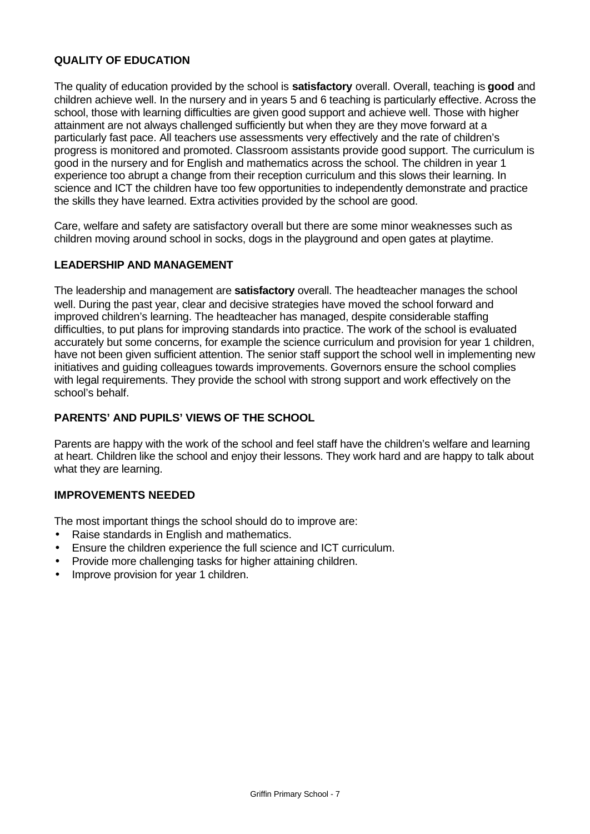## **QUALITY OF EDUCATION**

The quality of education provided by the school is **satisfactory** overall. Overall, teaching is **good** and children achieve well. In the nursery and in years 5 and 6 teaching is particularly effective. Across the school, those with learning difficulties are given good support and achieve well. Those with higher attainment are not always challenged sufficiently but when they are they move forward at a particularly fast pace. All teachers use assessments very effectively and the rate of children's progress is monitored and promoted. Classroom assistants provide good support. The curriculum is good in the nursery and for English and mathematics across the school. The children in year 1 experience too abrupt a change from their reception curriculum and this slows their learning. In science and ICT the children have too few opportunities to independently demonstrate and practice the skills they have learned. Extra activities provided by the school are good.

Care, welfare and safety are satisfactory overall but there are some minor weaknesses such as children moving around school in socks, dogs in the playground and open gates at playtime.

#### **LEADERSHIP AND MANAGEMENT**

The leadership and management are **satisfactory** overall. The headteacher manages the school well. During the past year, clear and decisive strategies have moved the school forward and improved children's learning. The headteacher has managed, despite considerable staffing difficulties, to put plans for improving standards into practice. The work of the school is evaluated accurately but some concerns, for example the science curriculum and provision for year 1 children, have not been given sufficient attention. The senior staff support the school well in implementing new initiatives and guiding colleagues towards improvements. Governors ensure the school complies with legal requirements. They provide the school with strong support and work effectively on the school's behalf.

#### **PARENTS' AND PUPILS' VIEWS OF THE SCHOOL**

Parents are happy with the work of the school and feel staff have the children's welfare and learning at heart. Children like the school and enjoy their lessons. They work hard and are happy to talk about what they are learning.

#### **IMPROVEMENTS NEEDED**

The most important things the school should do to improve are:

- Raise standards in English and mathematics.
- Ensure the children experience the full science and ICT curriculum.
- Provide more challenging tasks for higher attaining children.
- Improve provision for year 1 children.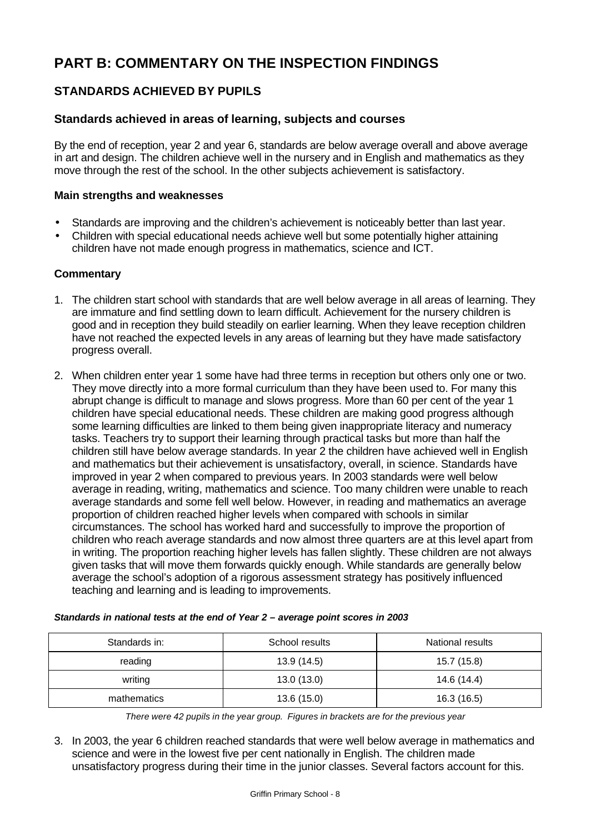# **PART B: COMMENTARY ON THE INSPECTION FINDINGS**

# **STANDARDS ACHIEVED BY PUPILS**

## **Standards achieved in areas of learning, subjects and courses**

By the end of reception, year 2 and year 6, standards are below average overall and above average in art and design. The children achieve well in the nursery and in English and mathematics as they move through the rest of the school. In the other subjects achievement is satisfactory.

#### **Main strengths and weaknesses**

- Standards are improving and the children's achievement is noticeably better than last year.
- Children with special educational needs achieve well but some potentially higher attaining children have not made enough progress in mathematics, science and ICT.

#### **Commentary**

- 1. The children start school with standards that are well below average in all areas of learning. They are immature and find settling down to learn difficult. Achievement for the nursery children is good and in reception they build steadily on earlier learning. When they leave reception children have not reached the expected levels in any areas of learning but they have made satisfactory progress overall.
- 2. When children enter year 1 some have had three terms in reception but others only one or two. They move directly into a more formal curriculum than they have been used to. For many this abrupt change is difficult to manage and slows progress. More than 60 per cent of the year 1 children have special educational needs. These children are making good progress although some learning difficulties are linked to them being given inappropriate literacy and numeracy tasks. Teachers try to support their learning through practical tasks but more than half the children still have below average standards. In year 2 the children have achieved well in English and mathematics but their achievement is unsatisfactory, overall, in science. Standards have improved in year 2 when compared to previous years. In 2003 standards were well below average in reading, writing, mathematics and science. Too many children were unable to reach average standards and some fell well below. However, in reading and mathematics an average proportion of children reached higher levels when compared with schools in similar circumstances. The school has worked hard and successfully to improve the proportion of children who reach average standards and now almost three quarters are at this level apart from in writing. The proportion reaching higher levels has fallen slightly. These children are not always given tasks that will move them forwards quickly enough. While standards are generally below average the school's adoption of a rigorous assessment strategy has positively influenced teaching and learning and is leading to improvements.

| Standards in: | School results | National results |
|---------------|----------------|------------------|
| reading       | 13.9 (14.5)    | 15.7 (15.8)      |
| writing       | 13.0(13.0)     | 14.6 (14.4)      |
| mathematics   | 13.6(15.0)     | 16.3 (16.5)      |

*Standards in national tests at the end of Year 2 – average point scores in 2003*

*There were 42 pupils in the year group. Figures in brackets are for the previous year*

3. In 2003, the year 6 children reached standards that were well below average in mathematics and science and were in the lowest five per cent nationally in English. The children made unsatisfactory progress during their time in the junior classes. Several factors account for this.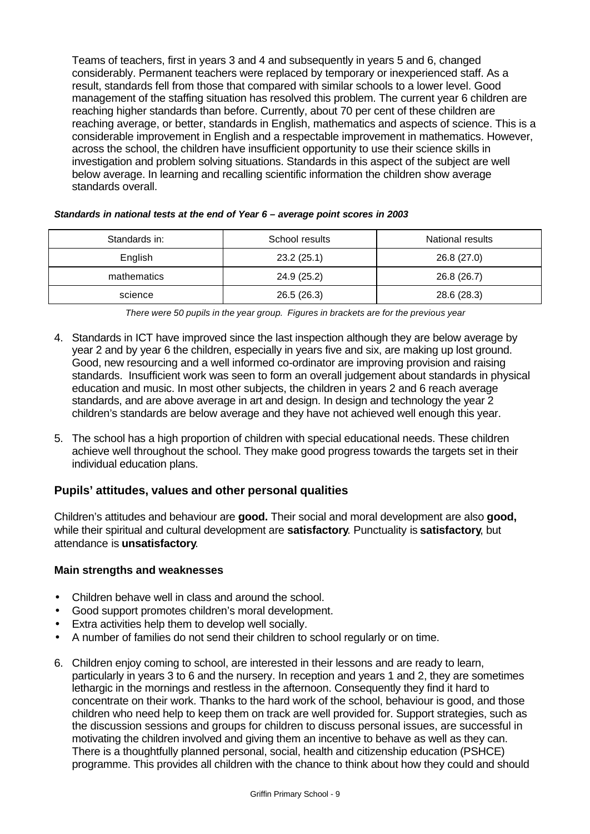Teams of teachers, first in years 3 and 4 and subsequently in years 5 and 6, changed considerably. Permanent teachers were replaced by temporary or inexperienced staff. As a result, standards fell from those that compared with similar schools to a lower level. Good management of the staffing situation has resolved this problem. The current year 6 children are reaching higher standards than before. Currently, about 70 per cent of these children are reaching average, or better, standards in English, mathematics and aspects of science. This is a considerable improvement in English and a respectable improvement in mathematics. However, across the school, the children have insufficient opportunity to use their science skills in investigation and problem solving situations. Standards in this aspect of the subject are well below average. In learning and recalling scientific information the children show average standards overall.

| Standards in: | School results | National results |
|---------------|----------------|------------------|
| English       | 23.2(25.1)     | 26.8 (27.0)      |
| mathematics   | 24.9 (25.2)    | 26.8 (26.7)      |
| science       | 26.5(26.3)     | 28.6 (28.3)      |

#### *Standards in national tests at the end of Year 6 – average point scores in 2003*

- 4. Standards in ICT have improved since the last inspection although they are below average by year 2 and by year 6 the children, especially in years five and six, are making up lost ground. Good, new resourcing and a well informed co-ordinator are improving provision and raising standards. Insufficient work was seen to form an overall judgement about standards in physical education and music. In most other subjects, the children in years 2 and 6 reach average standards, and are above average in art and design. In design and technology the year 2 children's standards are below average and they have not achieved well enough this year.
- 5. The school has a high proportion of children with special educational needs. These children achieve well throughout the school. They make good progress towards the targets set in their individual education plans.

#### **Pupils' attitudes, values and other personal qualities**

Children's attitudes and behaviour are **good.** Their social and moral development are also **good,** while their spiritual and cultural development are **satisfactory**. Punctuality is **satisfactory**, but attendance is **unsatisfactory**.

#### **Main strengths and weaknesses**

- Children behave well in class and around the school.
- Good support promotes children's moral development.
- Extra activities help them to develop well socially.
- A number of families do not send their children to school regularly or on time.
- 6. Children enjoy coming to school, are interested in their lessons and are ready to learn, particularly in years 3 to 6 and the nursery. In reception and years 1 and 2, they are sometimes lethargic in the mornings and restless in the afternoon. Consequently they find it hard to concentrate on their work. Thanks to the hard work of the school, behaviour is good, and those children who need help to keep them on track are well provided for. Support strategies, such as the discussion sessions and groups for children to discuss personal issues, are successful in motivating the children involved and giving them an incentive to behave as well as they can. There is a thoughtfully planned personal, social, health and citizenship education (PSHCE) programme. This provides all children with the chance to think about how they could and should

*There were 50 pupils in the year group. Figures in brackets are for the previous year*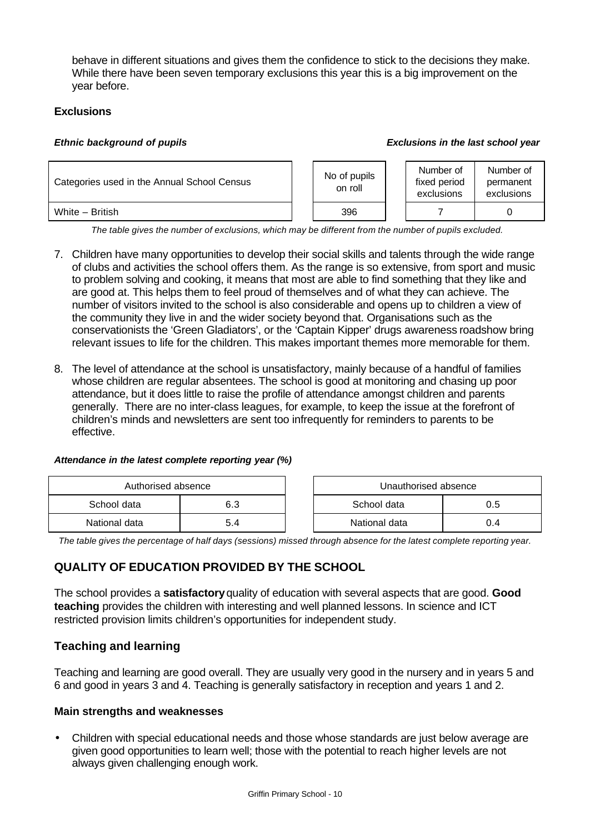behave in different situations and gives them the confidence to stick to the decisions they make. While there have been seven temporary exclusions this year this is a big improvement on the year before.

# **Exclusions**

#### *Ethnic background of pupils Exclusions in the last school year*



*The table gives the number of exclusions, which may be different from the number of pupils excluded.*

- 7. Children have many opportunities to develop their social skills and talents through the wide range of clubs and activities the school offers them. As the range is so extensive, from sport and music to problem solving and cooking, it means that most are able to find something that they like and are good at. This helps them to feel proud of themselves and of what they can achieve. The number of visitors invited to the school is also considerable and opens up to children a view of the community they live in and the wider society beyond that. Organisations such as the conservationists the 'Green Gladiators', or the 'Captain Kipper' drugs awareness roadshow bring relevant issues to life for the children. This makes important themes more memorable for them.
- 8. The level of attendance at the school is unsatisfactory, mainly because of a handful of families whose children are regular absentees. The school is good at monitoring and chasing up poor attendance, but it does little to raise the profile of attendance amongst children and parents generally. There are no inter-class leagues, for example, to keep the issue at the forefront of children's minds and newsletters are sent too infrequently for reminders to parents to be effective.

#### *Attendance in the latest complete reporting year (%)*

| Authorised absence |     | Unauthorised absence |     |
|--------------------|-----|----------------------|-----|
| School data        | 6.3 | School data          | 0.5 |
| National data      | 5.4 | National data        | 0.4 |

*The table gives the percentage of half days (sessions) missed through absence for the latest complete reporting year.*

# **QUALITY OF EDUCATION PROVIDED BY THE SCHOOL**

The school provides a **satisfactory** quality of education with several aspects that are good. **Good teaching** provides the children with interesting and well planned lessons. In science and ICT restricted provision limits children's opportunities for independent study.

# **Teaching and learning**

Teaching and learning are good overall. They are usually very good in the nursery and in years 5 and 6 and good in years 3 and 4. Teaching is generally satisfactory in reception and years 1 and 2.

# **Main strengths and weaknesses**

• Children with special educational needs and those whose standards are just below average are given good opportunities to learn well; those with the potential to reach higher levels are not always given challenging enough work.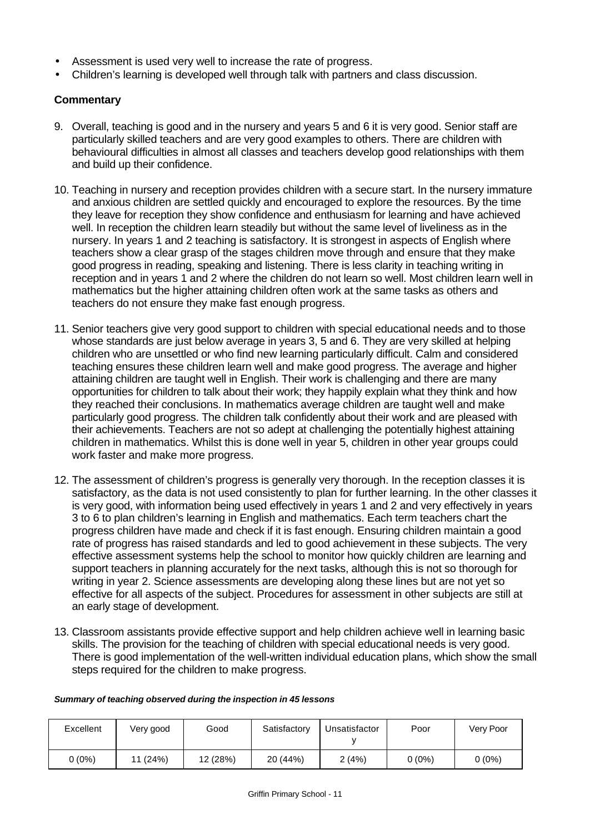- Assessment is used very well to increase the rate of progress.
- Children's learning is developed well through talk with partners and class discussion.

## **Commentary**

- 9. Overall, teaching is good and in the nursery and years 5 and 6 it is very good. Senior staff are particularly skilled teachers and are very good examples to others. There are children with behavioural difficulties in almost all classes and teachers develop good relationships with them and build up their confidence.
- 10. Teaching in nursery and reception provides children with a secure start. In the nursery immature and anxious children are settled quickly and encouraged to explore the resources. By the time they leave for reception they show confidence and enthusiasm for learning and have achieved well. In reception the children learn steadily but without the same level of liveliness as in the nursery. In years 1 and 2 teaching is satisfactory. It is strongest in aspects of English where teachers show a clear grasp of the stages children move through and ensure that they make good progress in reading, speaking and listening. There is less clarity in teaching writing in reception and in years 1 and 2 where the children do not learn so well. Most children learn well in mathematics but the higher attaining children often work at the same tasks as others and teachers do not ensure they make fast enough progress.
- 11. Senior teachers give very good support to children with special educational needs and to those whose standards are just below average in years 3, 5 and 6. They are very skilled at helping children who are unsettled or who find new learning particularly difficult. Calm and considered teaching ensures these children learn well and make good progress. The average and higher attaining children are taught well in English. Their work is challenging and there are many opportunities for children to talk about their work; they happily explain what they think and how they reached their conclusions. In mathematics average children are taught well and make particularly good progress. The children talk confidently about their work and are pleased with their achievements. Teachers are not so adept at challenging the potentially highest attaining children in mathematics. Whilst this is done well in year 5, children in other year groups could work faster and make more progress.
- 12. The assessment of children's progress is generally very thorough. In the reception classes it is satisfactory, as the data is not used consistently to plan for further learning. In the other classes it is very good, with information being used effectively in years 1 and 2 and very effectively in years 3 to 6 to plan children's learning in English and mathematics. Each term teachers chart the progress children have made and check if it is fast enough. Ensuring children maintain a good rate of progress has raised standards and led to good achievement in these subjects. The very effective assessment systems help the school to monitor how quickly children are learning and support teachers in planning accurately for the next tasks, although this is not so thorough for writing in year 2. Science assessments are developing along these lines but are not yet so effective for all aspects of the subject. Procedures for assessment in other subjects are still at an early stage of development.
- 13. Classroom assistants provide effective support and help children achieve well in learning basic skills. The provision for the teaching of children with special educational needs is very good. There is good implementation of the well-written individual education plans, which show the small steps required for the children to make progress.

#### *Summary of teaching observed during the inspection in 45 lessons*

| Excellent | Very good | Good     | Satisfactory | Unsatisfactor | Poor   | Very Poor |
|-----------|-----------|----------|--------------|---------------|--------|-----------|
| $0(0\%)$  | 11 (24%)  | 12 (28%) | 20 (44%)     | 2(4%)         | 0 (0%) | $0(0\%)$  |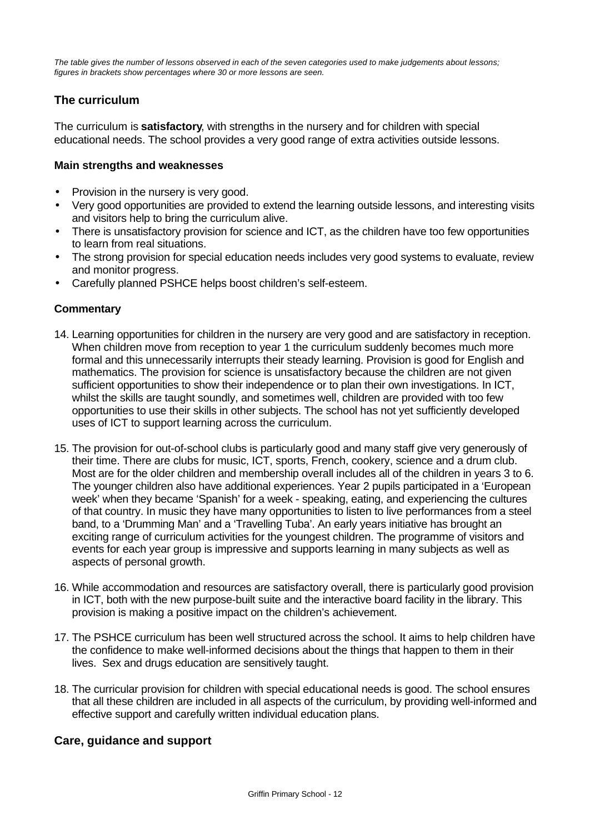*The table gives the number of lessons observed in each of the seven categories used to make judgements about lessons; figures in brackets show percentages where 30 or more lessons are seen.*

# **The curriculum**

The curriculum is **satisfactory**, with strengths in the nursery and for children with special educational needs. The school provides a very good range of extra activities outside lessons.

#### **Main strengths and weaknesses**

- Provision in the nursery is very good.
- Very good opportunities are provided to extend the learning outside lessons, and interesting visits and visitors help to bring the curriculum alive.
- There is unsatisfactory provision for science and ICT, as the children have too few opportunities to learn from real situations.
- The strong provision for special education needs includes very good systems to evaluate, review and monitor progress.
- Carefully planned PSHCE helps boost children's self-esteem.

# **Commentary**

- 14. Learning opportunities for children in the nursery are very good and are satisfactory in reception. When children move from reception to year 1 the curriculum suddenly becomes much more formal and this unnecessarily interrupts their steady learning. Provision is good for English and mathematics. The provision for science is unsatisfactory because the children are not given sufficient opportunities to show their independence or to plan their own investigations. In ICT, whilst the skills are taught soundly, and sometimes well, children are provided with too few opportunities to use their skills in other subjects. The school has not yet sufficiently developed uses of ICT to support learning across the curriculum.
- 15. The provision for out-of-school clubs is particularly good and many staff give very generously of their time. There are clubs for music, ICT, sports, French, cookery, science and a drum club. Most are for the older children and membership overall includes all of the children in years 3 to 6. The younger children also have additional experiences. Year 2 pupils participated in a 'European week' when they became 'Spanish' for a week - speaking, eating, and experiencing the cultures of that country. In music they have many opportunities to listen to live performances from a steel band, to a 'Drumming Man' and a 'Travelling Tuba'. An early years initiative has brought an exciting range of curriculum activities for the youngest children. The programme of visitors and events for each year group is impressive and supports learning in many subjects as well as aspects of personal growth.
- 16. While accommodation and resources are satisfactory overall, there is particularly good provision in ICT, both with the new purpose-built suite and the interactive board facility in the library. This provision is making a positive impact on the children's achievement.
- 17. The PSHCE curriculum has been well structured across the school. It aims to help children have the confidence to make well-informed decisions about the things that happen to them in their lives. Sex and drugs education are sensitively taught.
- 18. The curricular provision for children with special educational needs is good. The school ensures that all these children are included in all aspects of the curriculum, by providing well-informed and effective support and carefully written individual education plans.

# **Care, guidance and support**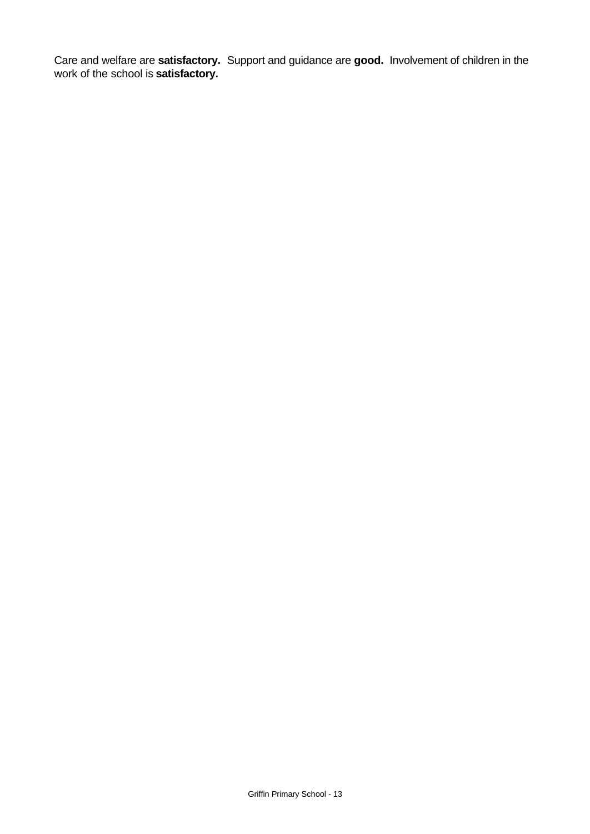Care and welfare are **satisfactory.** Support and guidance are **good.** Involvement of children in the work of the school is **satisfactory.**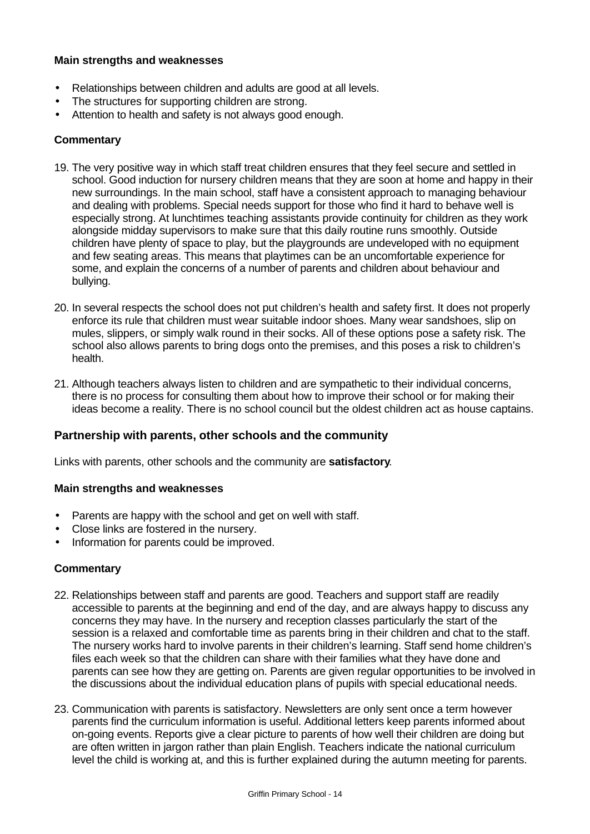#### **Main strengths and weaknesses**

- Relationships between children and adults are good at all levels.
- The structures for supporting children are strong.
- Attention to health and safety is not always good enough.

#### **Commentary**

- 19. The very positive way in which staff treat children ensures that they feel secure and settled in school. Good induction for nursery children means that they are soon at home and happy in their new surroundings. In the main school, staff have a consistent approach to managing behaviour and dealing with problems. Special needs support for those who find it hard to behave well is especially strong. At lunchtimes teaching assistants provide continuity for children as they work alongside midday supervisors to make sure that this daily routine runs smoothly. Outside children have plenty of space to play, but the playgrounds are undeveloped with no equipment and few seating areas. This means that playtimes can be an uncomfortable experience for some, and explain the concerns of a number of parents and children about behaviour and bullying.
- 20. In several respects the school does not put children's health and safety first. It does not properly enforce its rule that children must wear suitable indoor shoes. Many wear sandshoes, slip on mules, slippers, or simply walk round in their socks. All of these options pose a safety risk. The school also allows parents to bring dogs onto the premises, and this poses a risk to children's health.
- 21. Although teachers always listen to children and are sympathetic to their individual concerns, there is no process for consulting them about how to improve their school or for making their ideas become a reality. There is no school council but the oldest children act as house captains.

#### **Partnership with parents, other schools and the community**

Links with parents, other schools and the community are **satisfactory**.

#### **Main strengths and weaknesses**

- Parents are happy with the school and get on well with staff.
- Close links are fostered in the nursery.
- Information for parents could be improved.

#### **Commentary**

- 22. Relationships between staff and parents are good. Teachers and support staff are readily accessible to parents at the beginning and end of the day, and are always happy to discuss any concerns they may have. In the nursery and reception classes particularly the start of the session is a relaxed and comfortable time as parents bring in their children and chat to the staff. The nursery works hard to involve parents in their children's learning. Staff send home children's files each week so that the children can share with their families what they have done and parents can see how they are getting on. Parents are given regular opportunities to be involved in the discussions about the individual education plans of pupils with special educational needs.
- 23. Communication with parents is satisfactory. Newsletters are only sent once a term however parents find the curriculum information is useful. Additional letters keep parents informed about on-going events. Reports give a clear picture to parents of how well their children are doing but are often written in jargon rather than plain English. Teachers indicate the national curriculum level the child is working at, and this is further explained during the autumn meeting for parents.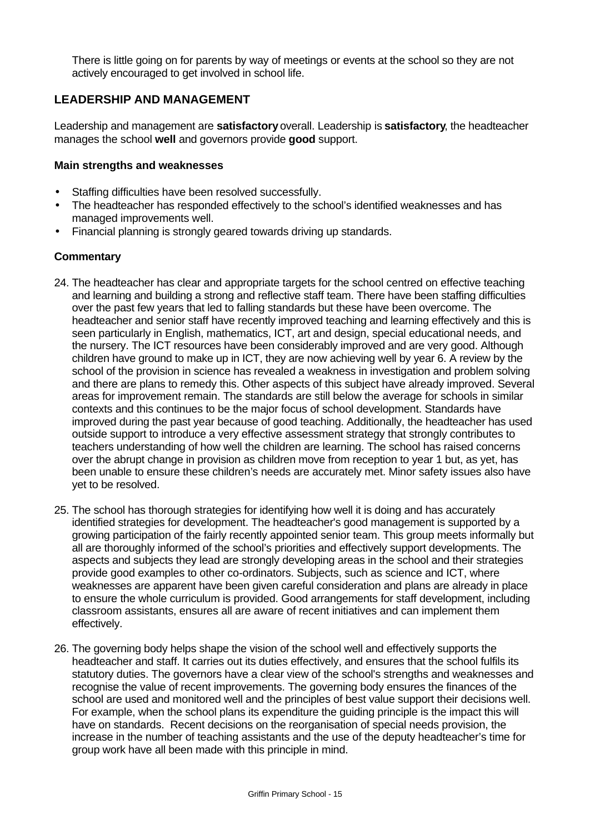There is little going on for parents by way of meetings or events at the school so they are not actively encouraged to get involved in school life.

# **LEADERSHIP AND MANAGEMENT**

Leadership and management are **satisfactory** overall. Leadership is **satisfactory**, the headteacher manages the school **well** and governors provide **good** support.

#### **Main strengths and weaknesses**

- Staffing difficulties have been resolved successfully.
- The headteacher has responded effectively to the school's identified weaknesses and has managed improvements well.
- Financial planning is strongly geared towards driving up standards.

#### **Commentary**

- 24. The headteacher has clear and appropriate targets for the school centred on effective teaching and learning and building a strong and reflective staff team. There have been staffing difficulties over the past few years that led to falling standards but these have been overcome. The headteacher and senior staff have recently improved teaching and learning effectively and this is seen particularly in English, mathematics, ICT, art and design, special educational needs, and the nursery. The ICT resources have been considerably improved and are very good. Although children have ground to make up in ICT, they are now achieving well by year 6. A review by the school of the provision in science has revealed a weakness in investigation and problem solving and there are plans to remedy this. Other aspects of this subject have already improved. Several areas for improvement remain. The standards are still below the average for schools in similar contexts and this continues to be the major focus of school development. Standards have improved during the past year because of good teaching. Additionally, the headteacher has used outside support to introduce a very effective assessment strategy that strongly contributes to teachers understanding of how well the children are learning. The school has raised concerns over the abrupt change in provision as children move from reception to year 1 but, as yet, has been unable to ensure these children's needs are accurately met. Minor safety issues also have yet to be resolved.
- 25. The school has thorough strategies for identifying how well it is doing and has accurately identified strategies for development. The headteacher's good management is supported by a growing participation of the fairly recently appointed senior team. This group meets informally but all are thoroughly informed of the school's priorities and effectively support developments. The aspects and subjects they lead are strongly developing areas in the school and their strategies provide good examples to other co-ordinators. Subjects, such as science and ICT, where weaknesses are apparent have been given careful consideration and plans are already in place to ensure the whole curriculum is provided. Good arrangements for staff development, including classroom assistants, ensures all are aware of recent initiatives and can implement them effectively.
- 26. The governing body helps shape the vision of the school well and effectively supports the headteacher and staff. It carries out its duties effectively, and ensures that the school fulfils its statutory duties. The governors have a clear view of the school's strengths and weaknesses and recognise the value of recent improvements. The governing body ensures the finances of the school are used and monitored well and the principles of best value support their decisions well. For example, when the school plans its expenditure the guiding principle is the impact this will have on standards. Recent decisions on the reorganisation of special needs provision, the increase in the number of teaching assistants and the use of the deputy headteacher's time for group work have all been made with this principle in mind.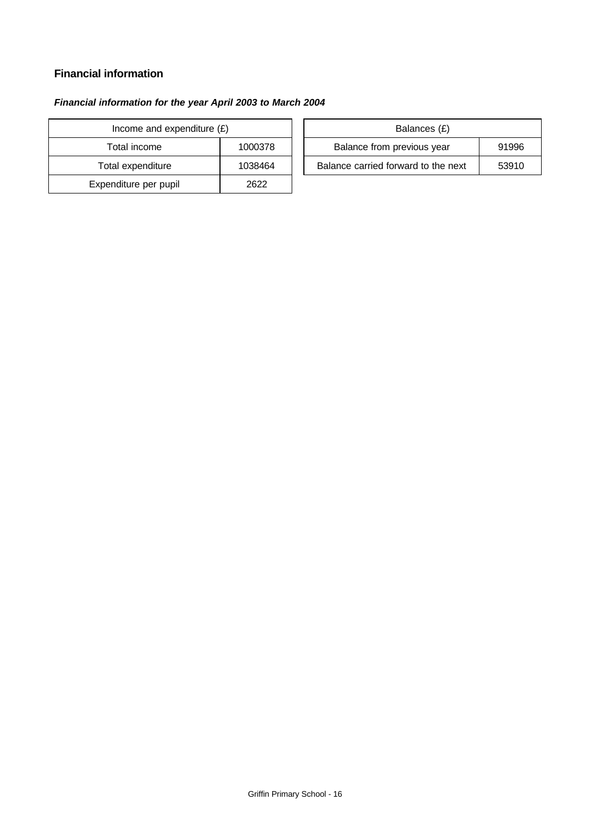# **Financial information**

# *Financial information for the year April 2003 to March 2004*

| Income and expenditure $(E)$ |         |  | Balances (£)                   |
|------------------------------|---------|--|--------------------------------|
| Total income                 | 1000378 |  | Balance from previous year     |
| Total expenditure            | 1038464 |  | Balance carried forward to the |
| Expenditure per pupil        | 2622    |  |                                |

| Income and expenditure $(E)$ |         | Balances (£)                        |       |
|------------------------------|---------|-------------------------------------|-------|
| Total income                 | 1000378 | Balance from previous year          | 91996 |
| Total expenditure            | 1038464 | Balance carried forward to the next | 53910 |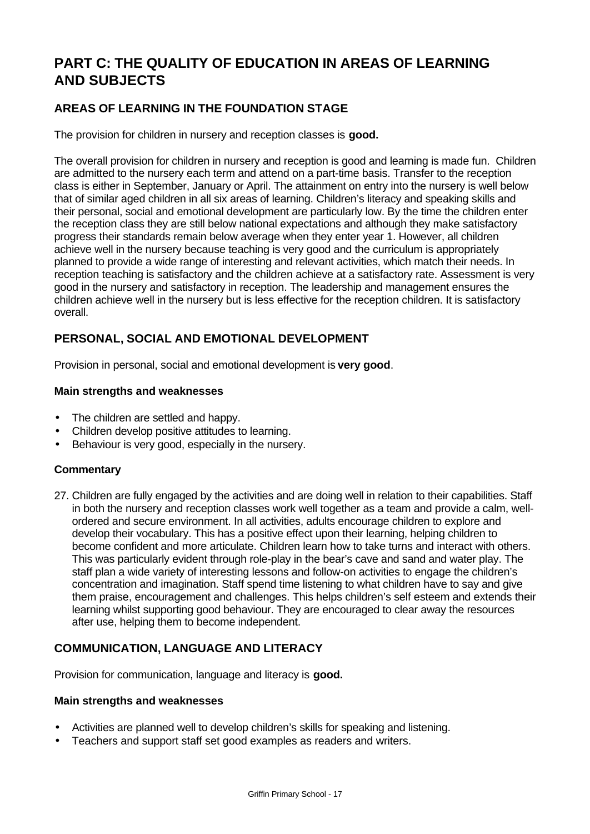# **PART C: THE QUALITY OF EDUCATION IN AREAS OF LEARNING AND SUBJECTS**

# **AREAS OF LEARNING IN THE FOUNDATION STAGE**

The provision for children in nursery and reception classes is **good.**

The overall provision for children in nursery and reception is good and learning is made fun. Children are admitted to the nursery each term and attend on a part-time basis. Transfer to the reception class is either in September, January or April. The attainment on entry into the nursery is well below that of similar aged children in all six areas of learning. Children's literacy and speaking skills and their personal, social and emotional development are particularly low. By the time the children enter the reception class they are still below national expectations and although they make satisfactory progress their standards remain below average when they enter year 1. However, all children achieve well in the nursery because teaching is very good and the curriculum is appropriately planned to provide a wide range of interesting and relevant activities, which match their needs. In reception teaching is satisfactory and the children achieve at a satisfactory rate. Assessment is very good in the nursery and satisfactory in reception. The leadership and management ensures the children achieve well in the nursery but is less effective for the reception children. It is satisfactory overall.

# **PERSONAL, SOCIAL AND EMOTIONAL DEVELOPMENT**

Provision in personal, social and emotional development is **very good**.

#### **Main strengths and weaknesses**

- The children are settled and happy.
- Children develop positive attitudes to learning.
- Behaviour is very good, especially in the nursery.

#### **Commentary**

27. Children are fully engaged by the activities and are doing well in relation to their capabilities. Staff in both the nursery and reception classes work well together as a team and provide a calm, wellordered and secure environment. In all activities, adults encourage children to explore and develop their vocabulary. This has a positive effect upon their learning, helping children to become confident and more articulate. Children learn how to take turns and interact with others. This was particularly evident through role-play in the bear's cave and sand and water play. The staff plan a wide variety of interesting lessons and follow-on activities to engage the children's concentration and imagination. Staff spend time listening to what children have to say and give them praise, encouragement and challenges. This helps children's self esteem and extends their learning whilst supporting good behaviour. They are encouraged to clear away the resources after use, helping them to become independent.

# **COMMUNICATION, LANGUAGE AND LITERACY**

Provision for communication, language and literacy is **good.**

#### **Main strengths and weaknesses**

- Activities are planned well to develop children's skills for speaking and listening.
- Teachers and support staff set good examples as readers and writers.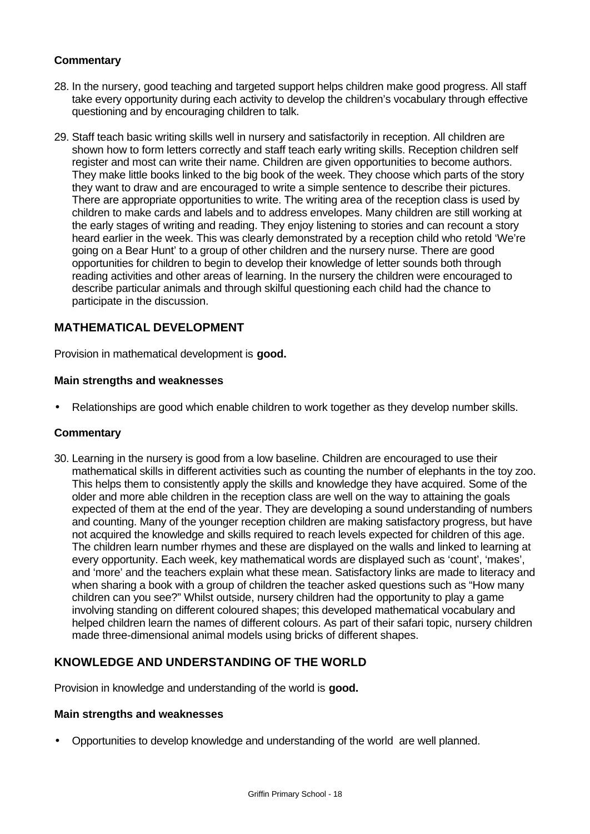## **Commentary**

- 28. In the nursery, good teaching and targeted support helps children make good progress. All staff take every opportunity during each activity to develop the children's vocabulary through effective questioning and by encouraging children to talk.
- 29. Staff teach basic writing skills well in nursery and satisfactorily in reception. All children are shown how to form letters correctly and staff teach early writing skills. Reception children self register and most can write their name. Children are given opportunities to become authors. They make little books linked to the big book of the week. They choose which parts of the story they want to draw and are encouraged to write a simple sentence to describe their pictures. There are appropriate opportunities to write. The writing area of the reception class is used by children to make cards and labels and to address envelopes. Many children are still working at the early stages of writing and reading. They enjoy listening to stories and can recount a story heard earlier in the week. This was clearly demonstrated by a reception child who retold 'We're going on a Bear Hunt' to a group of other children and the nursery nurse. There are good opportunities for children to begin to develop their knowledge of letter sounds both through reading activities and other areas of learning. In the nursery the children were encouraged to describe particular animals and through skilful questioning each child had the chance to participate in the discussion.

# **MATHEMATICAL DEVELOPMENT**

Provision in mathematical development is **good.**

#### **Main strengths and weaknesses**

• Relationships are good which enable children to work together as they develop number skills.

#### **Commentary**

30. Learning in the nursery is good from a low baseline. Children are encouraged to use their mathematical skills in different activities such as counting the number of elephants in the toy zoo. This helps them to consistently apply the skills and knowledge they have acquired. Some of the older and more able children in the reception class are well on the way to attaining the goals expected of them at the end of the year. They are developing a sound understanding of numbers and counting. Many of the younger reception children are making satisfactory progress, but have not acquired the knowledge and skills required to reach levels expected for children of this age. The children learn number rhymes and these are displayed on the walls and linked to learning at every opportunity. Each week, key mathematical words are displayed such as 'count', 'makes', and 'more' and the teachers explain what these mean. Satisfactory links are made to literacy and when sharing a book with a group of children the teacher asked questions such as "How many children can you see?" Whilst outside, nursery children had the opportunity to play a game involving standing on different coloured shapes; this developed mathematical vocabulary and helped children learn the names of different colours. As part of their safari topic, nursery children made three-dimensional animal models using bricks of different shapes.

# **KNOWLEDGE AND UNDERSTANDING OF THE WORLD**

Provision in knowledge and understanding of the world is **good.**

#### **Main strengths and weaknesses**

• Opportunities to develop knowledge and understanding of the world are well planned.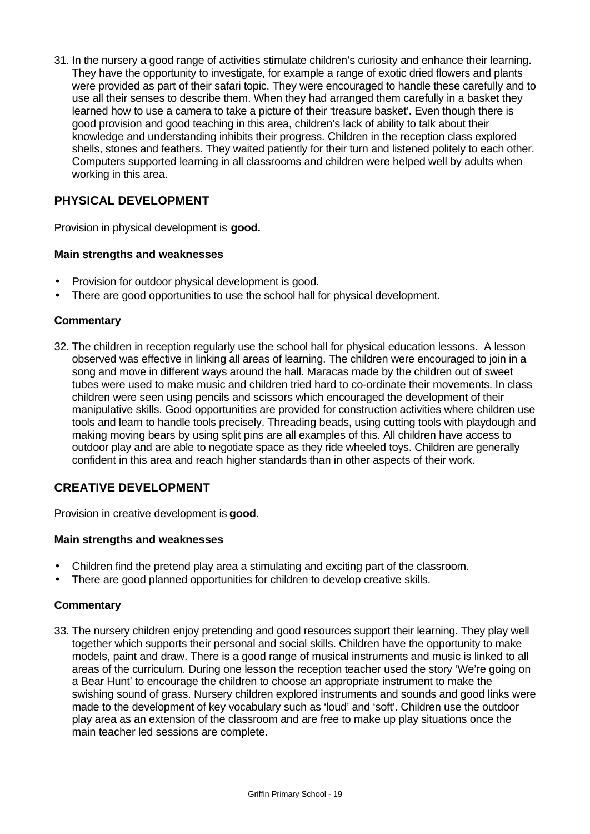31. In the nursery a good range of activities stimulate children's curiosity and enhance their learning. They have the opportunity to investigate, for example a range of exotic dried flowers and plants were provided as part of their safari topic. They were encouraged to handle these carefully and to use all their senses to describe them. When they had arranged them carefully in a basket they learned how to use a camera to take a picture of their 'treasure basket'. Even though there is good provision and good teaching in this area, children's lack of ability to talk about their knowledge and understanding inhibits their progress. Children in the reception class explored shells, stones and feathers. They waited patiently for their turn and listened politely to each other. Computers supported learning in all classrooms and children were helped well by adults when working in this area.

# **PHYSICAL DEVELOPMENT**

Provision in physical development is **good.**

#### **Main strengths and weaknesses**

- Provision for outdoor physical development is good.
- There are good opportunities to use the school hall for physical development.

#### **Commentary**

32. The children in reception regularly use the school hall for physical education lessons. A lesson observed was effective in linking all areas of learning. The children were encouraged to join in a song and move in different ways around the hall. Maracas made by the children out of sweet tubes were used to make music and children tried hard to co-ordinate their movements. In class children were seen using pencils and scissors which encouraged the development of their manipulative skills. Good opportunities are provided for construction activities where children use tools and learn to handle tools precisely. Threading beads, using cutting tools with playdough and making moving bears by using split pins are all examples of this. All children have access to outdoor play and are able to negotiate space as they ride wheeled toys. Children are generally confident in this area and reach higher standards than in other aspects of their work.

# **CREATIVE DEVELOPMENT**

Provision in creative development is **good**.

#### **Main strengths and weaknesses**

- Children find the pretend play area a stimulating and exciting part of the classroom.
- There are good planned opportunities for children to develop creative skills.

#### **Commentary**

33. The nursery children enjoy pretending and good resources support their learning. They play well together which supports their personal and social skills. Children have the opportunity to make models, paint and draw. There is a good range of musical instruments and music is linked to all areas of the curriculum. During one lesson the reception teacher used the story 'We're going on a Bear Hunt' to encourage the children to choose an appropriate instrument to make the swishing sound of grass. Nursery children explored instruments and sounds and good links were made to the development of key vocabulary such as 'loud' and 'soft'. Children use the outdoor play area as an extension of the classroom and are free to make up play situations once the main teacher led sessions are complete.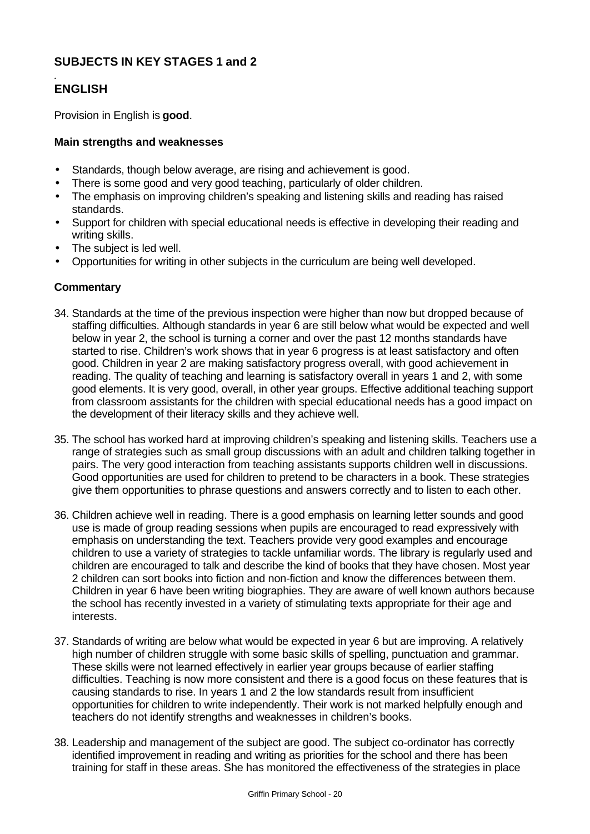# **SUBJECTS IN KEY STAGES 1 and 2**

#### *.* **ENGLISH**

Provision in English is **good**.

## **Main strengths and weaknesses**

- Standards, though below average, are rising and achievement is good.
- There is some good and very good teaching, particularly of older children.
- The emphasis on improving children's speaking and listening skills and reading has raised standards.
- Support for children with special educational needs is effective in developing their reading and writing skills.
- The subject is led well.
- Opportunities for writing in other subjects in the curriculum are being well developed.

#### **Commentary**

- 34. Standards at the time of the previous inspection were higher than now but dropped because of staffing difficulties. Although standards in year 6 are still below what would be expected and well below in year 2, the school is turning a corner and over the past 12 months standards have started to rise. Children's work shows that in year 6 progress is at least satisfactory and often good. Children in year 2 are making satisfactory progress overall, with good achievement in reading. The quality of teaching and learning is satisfactory overall in years 1 and 2, with some good elements. It is very good, overall, in other year groups. Effective additional teaching support from classroom assistants for the children with special educational needs has a good impact on the development of their literacy skills and they achieve well.
- 35. The school has worked hard at improving children's speaking and listening skills. Teachers use a range of strategies such as small group discussions with an adult and children talking together in pairs. The very good interaction from teaching assistants supports children well in discussions. Good opportunities are used for children to pretend to be characters in a book. These strategies give them opportunities to phrase questions and answers correctly and to listen to each other.
- 36. Children achieve well in reading. There is a good emphasis on learning letter sounds and good use is made of group reading sessions when pupils are encouraged to read expressively with emphasis on understanding the text. Teachers provide very good examples and encourage children to use a variety of strategies to tackle unfamiliar words. The library is regularly used and children are encouraged to talk and describe the kind of books that they have chosen. Most year 2 children can sort books into fiction and non-fiction and know the differences between them. Children in year 6 have been writing biographies. They are aware of well known authors because the school has recently invested in a variety of stimulating texts appropriate for their age and interests.
- 37. Standards of writing are below what would be expected in year 6 but are improving. A relatively high number of children struggle with some basic skills of spelling, punctuation and grammar. These skills were not learned effectively in earlier year groups because of earlier staffing difficulties. Teaching is now more consistent and there is a good focus on these features that is causing standards to rise. In years 1 and 2 the low standards result from insufficient opportunities for children to write independently. Their work is not marked helpfully enough and teachers do not identify strengths and weaknesses in children's books.
- 38. Leadership and management of the subject are good. The subject co-ordinator has correctly identified improvement in reading and writing as priorities for the school and there has been training for staff in these areas. She has monitored the effectiveness of the strategies in place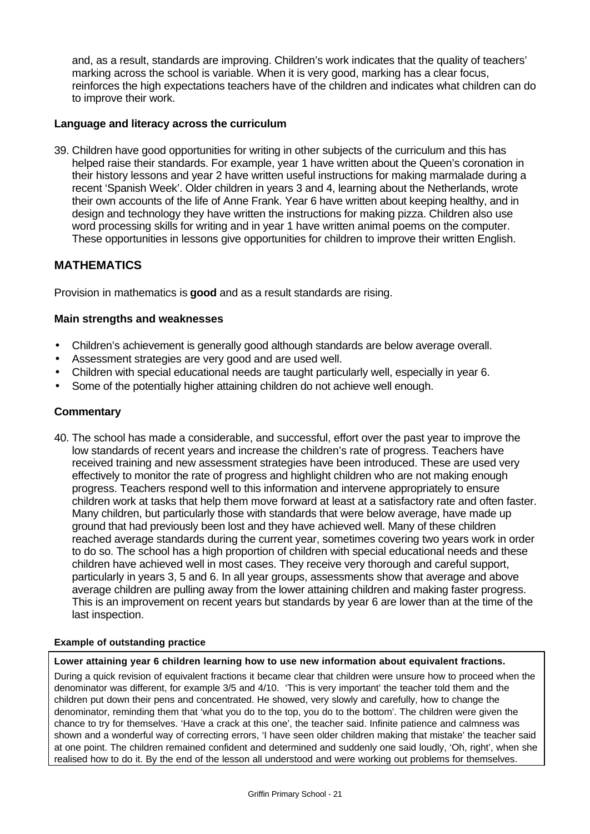and, as a result, standards are improving. Children's work indicates that the quality of teachers' marking across the school is variable. When it is very good, marking has a clear focus, reinforces the high expectations teachers have of the children and indicates what children can do to improve their work.

#### **Language and literacy across the curriculum**

39. Children have good opportunities for writing in other subjects of the curriculum and this has helped raise their standards. For example, year 1 have written about the Queen's coronation in their history lessons and year 2 have written useful instructions for making marmalade during a recent 'Spanish Week'. Older children in years 3 and 4, learning about the Netherlands, wrote their own accounts of the life of Anne Frank. Year 6 have written about keeping healthy, and in design and technology they have written the instructions for making pizza. Children also use word processing skills for writing and in year 1 have written animal poems on the computer. These opportunities in lessons give opportunities for children to improve their written English.

# **MATHEMATICS**

Provision in mathematics is **good** and as a result standards are rising.

#### **Main strengths and weaknesses**

- Children's achievement is generally good although standards are below average overall.
- Assessment strategies are very good and are used well.
- Children with special educational needs are taught particularly well, especially in year 6.
- Some of the potentially higher attaining children do not achieve well enough.

#### **Commentary**

40. The school has made a considerable, and successful, effort over the past year to improve the low standards of recent years and increase the children's rate of progress. Teachers have received training and new assessment strategies have been introduced. These are used very effectively to monitor the rate of progress and highlight children who are not making enough progress. Teachers respond well to this information and intervene appropriately to ensure children work at tasks that help them move forward at least at a satisfactory rate and often faster. Many children, but particularly those with standards that were below average, have made up ground that had previously been lost and they have achieved well. Many of these children reached average standards during the current year, sometimes covering two years work in order to do so. The school has a high proportion of children with special educational needs and these children have achieved well in most cases. They receive very thorough and careful support, particularly in years 3, 5 and 6. In all year groups, assessments show that average and above average children are pulling away from the lower attaining children and making faster progress. This is an improvement on recent years but standards by year 6 are lower than at the time of the last inspection.

#### **Example of outstanding practice**

**Lower attaining year 6 children learning how to use new information about equivalent fractions.**

During a quick revision of equivalent fractions it became clear that children were unsure how to proceed when the denominator was different, for example 3/5 and 4/10. 'This is very important' the teacher told them and the children put down their pens and concentrated. He showed, very slowly and carefully, how to change the denominator, reminding them that 'what you do to the top, you do to the bottom'. The children were given the chance to try for themselves. 'Have a crack at this one', the teacher said. Infinite patience and calmness was shown and a wonderful way of correcting errors, 'I have seen older children making that mistake' the teacher said at one point. The children remained confident and determined and suddenly one said loudly, 'Oh, right', when she realised how to do it. By the end of the lesson all understood and were working out problems for themselves.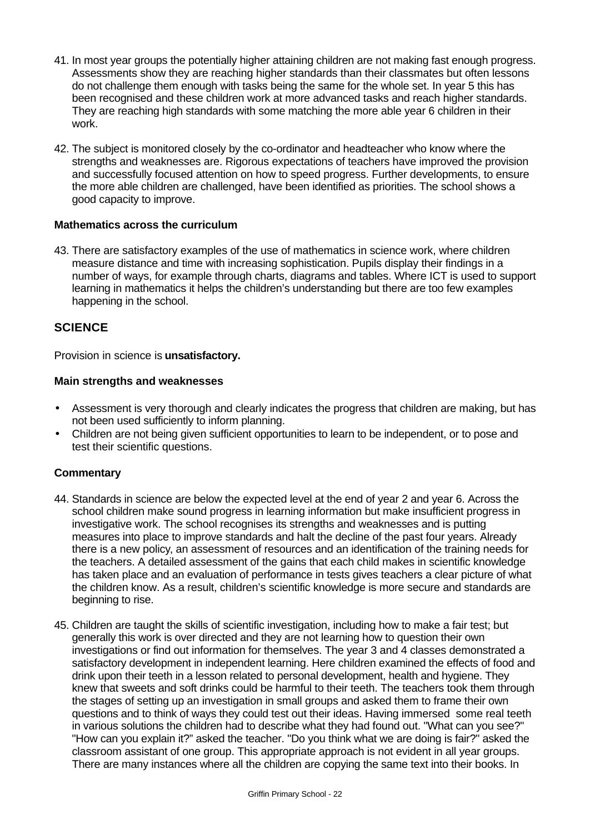- 41. In most year groups the potentially higher attaining children are not making fast enough progress. Assessments show they are reaching higher standards than their classmates but often lessons do not challenge them enough with tasks being the same for the whole set. In year 5 this has been recognised and these children work at more advanced tasks and reach higher standards. They are reaching high standards with some matching the more able year 6 children in their work.
- 42. The subject is monitored closely by the co-ordinator and headteacher who know where the strengths and weaknesses are. Rigorous expectations of teachers have improved the provision and successfully focused attention on how to speed progress. Further developments, to ensure the more able children are challenged, have been identified as priorities. The school shows a good capacity to improve.

#### **Mathematics across the curriculum**

43. There are satisfactory examples of the use of mathematics in science work, where children measure distance and time with increasing sophistication. Pupils display their findings in a number of ways, for example through charts, diagrams and tables. Where ICT is used to support learning in mathematics it helps the children's understanding but there are too few examples happening in the school.

# **SCIENCE**

Provision in science is **unsatisfactory.**

#### **Main strengths and weaknesses**

- Assessment is very thorough and clearly indicates the progress that children are making, but has not been used sufficiently to inform planning.
- Children are not being given sufficient opportunities to learn to be independent, or to pose and test their scientific questions.

# **Commentary**

- 44. Standards in science are below the expected level at the end of year 2 and year 6. Across the school children make sound progress in learning information but make insufficient progress in investigative work. The school recognises its strengths and weaknesses and is putting measures into place to improve standards and halt the decline of the past four years. Already there is a new policy, an assessment of resources and an identification of the training needs for the teachers. A detailed assessment of the gains that each child makes in scientific knowledge has taken place and an evaluation of performance in tests gives teachers a clear picture of what the children know. As a result, children's scientific knowledge is more secure and standards are beginning to rise.
- 45. Children are taught the skills of scientific investigation, including how to make a fair test; but generally this work is over directed and they are not learning how to question their own investigations or find out information for themselves. The year 3 and 4 classes demonstrated a satisfactory development in independent learning. Here children examined the effects of food and drink upon their teeth in a lesson related to personal development, health and hygiene. They knew that sweets and soft drinks could be harmful to their teeth. The teachers took them through the stages of setting up an investigation in small groups and asked them to frame their own questions and to think of ways they could test out their ideas. Having immersed some real teeth in various solutions the children had to describe what they had found out. "What can you see?" "How can you explain it?" asked the teacher. "Do you think what we are doing is fair?" asked the classroom assistant of one group. This appropriate approach is not evident in all year groups. There are many instances where all the children are copying the same text into their books. In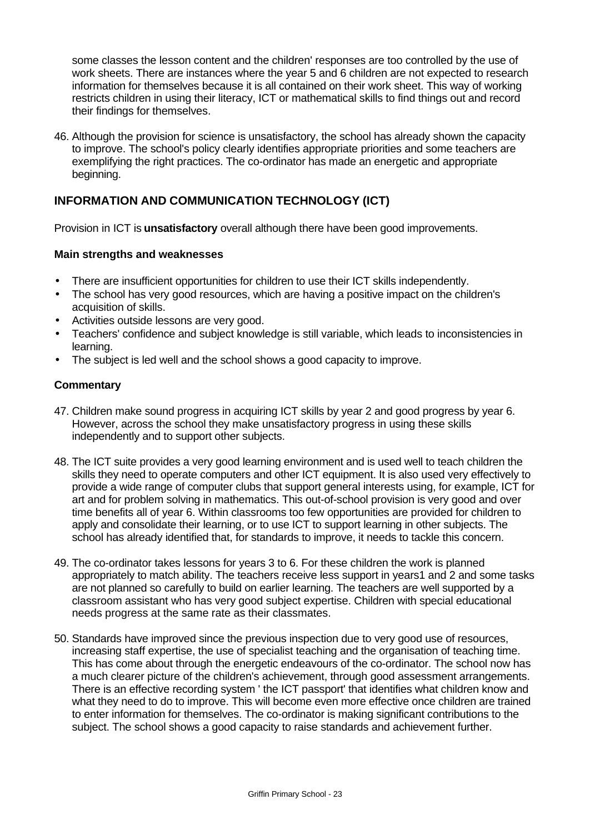some classes the lesson content and the children' responses are too controlled by the use of work sheets. There are instances where the year 5 and 6 children are not expected to research information for themselves because it is all contained on their work sheet. This way of working restricts children in using their literacy, ICT or mathematical skills to find things out and record their findings for themselves.

46. Although the provision for science is unsatisfactory, the school has already shown the capacity to improve. The school's policy clearly identifies appropriate priorities and some teachers are exemplifying the right practices. The co-ordinator has made an energetic and appropriate beginning.

# **INFORMATION AND COMMUNICATION TECHNOLOGY (ICT)**

Provision in ICT is **unsatisfactory** overall although there have been good improvements.

#### **Main strengths and weaknesses**

- There are insufficient opportunities for children to use their ICT skills independently.
- The school has very good resources, which are having a positive impact on the children's acquisition of skills.
- Activities outside lessons are very good.
- Teachers' confidence and subject knowledge is still variable, which leads to inconsistencies in learning.
- The subject is led well and the school shows a good capacity to improve.

#### **Commentary**

- 47. Children make sound progress in acquiring ICT skills by year 2 and good progress by year 6. However, across the school they make unsatisfactory progress in using these skills independently and to support other subjects.
- 48. The ICT suite provides a very good learning environment and is used well to teach children the skills they need to operate computers and other ICT equipment. It is also used very effectively to provide a wide range of computer clubs that support general interests using, for example, ICT for art and for problem solving in mathematics. This out-of-school provision is very good and over time benefits all of year 6. Within classrooms too few opportunities are provided for children to apply and consolidate their learning, or to use ICT to support learning in other subjects. The school has already identified that, for standards to improve, it needs to tackle this concern.
- 49. The co-ordinator takes lessons for years 3 to 6. For these children the work is planned appropriately to match ability. The teachers receive less support in years1 and 2 and some tasks are not planned so carefully to build on earlier learning. The teachers are well supported by a classroom assistant who has very good subject expertise. Children with special educational needs progress at the same rate as their classmates.
- 50. Standards have improved since the previous inspection due to very good use of resources, increasing staff expertise, the use of specialist teaching and the organisation of teaching time. This has come about through the energetic endeavours of the co-ordinator. The school now has a much clearer picture of the children's achievement, through good assessment arrangements. There is an effective recording system ' the ICT passport' that identifies what children know and what they need to do to improve. This will become even more effective once children are trained to enter information for themselves. The co-ordinator is making significant contributions to the subject. The school shows a good capacity to raise standards and achievement further.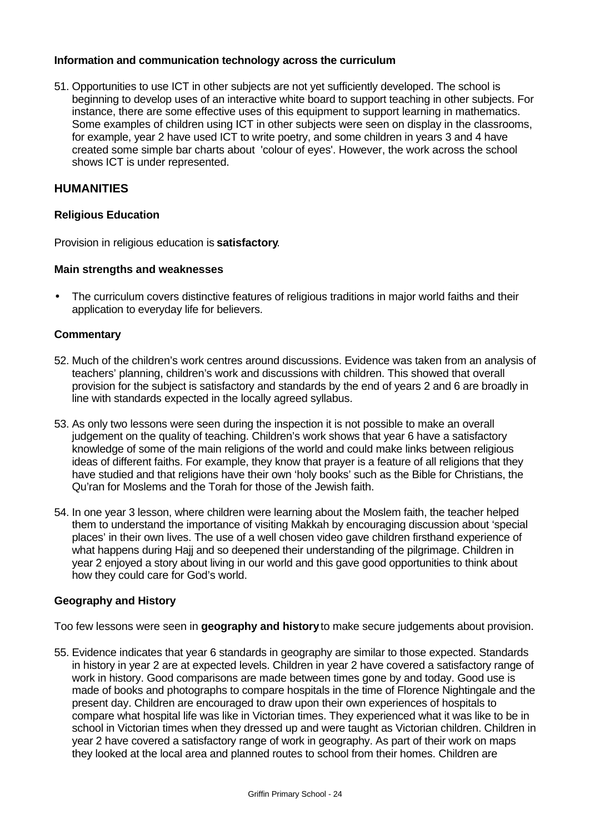#### **Information and communication technology across the curriculum**

51. Opportunities to use ICT in other subjects are not yet sufficiently developed. The school is beginning to develop uses of an interactive white board to support teaching in other subjects. For instance, there are some effective uses of this equipment to support learning in mathematics. Some examples of children using ICT in other subjects were seen on display in the classrooms, for example, year 2 have used ICT to write poetry, and some children in years 3 and 4 have created some simple bar charts about 'colour of eyes'. However, the work across the school shows ICT is under represented.

#### **HUMANITIES**

#### **Religious Education**

Provision in religious education is **satisfactory**.

#### **Main strengths and weaknesses**

• The curriculum covers distinctive features of religious traditions in major world faiths and their application to everyday life for believers.

#### **Commentary**

- 52. Much of the children's work centres around discussions. Evidence was taken from an analysis of teachers' planning, children's work and discussions with children. This showed that overall provision for the subject is satisfactory and standards by the end of years 2 and 6 are broadly in line with standards expected in the locally agreed syllabus.
- 53. As only two lessons were seen during the inspection it is not possible to make an overall judgement on the quality of teaching. Children's work shows that year 6 have a satisfactory knowledge of some of the main religions of the world and could make links between religious ideas of different faiths. For example, they know that prayer is a feature of all religions that they have studied and that religions have their own 'holy books' such as the Bible for Christians, the Qu'ran for Moslems and the Torah for those of the Jewish faith.
- 54. In one year 3 lesson, where children were learning about the Moslem faith, the teacher helped them to understand the importance of visiting Makkah by encouraging discussion about 'special places' in their own lives. The use of a well chosen video gave children firsthand experience of what happens during Hajj and so deepened their understanding of the pilgrimage. Children in year 2 enjoyed a story about living in our world and this gave good opportunities to think about how they could care for God's world.

#### **Geography and History**

Too few lessons were seen in **geography and history** to make secure judgements about provision.

55. Evidence indicates that year 6 standards in geography are similar to those expected. Standards in history in year 2 are at expected levels. Children in year 2 have covered a satisfactory range of work in history. Good comparisons are made between times gone by and today. Good use is made of books and photographs to compare hospitals in the time of Florence Nightingale and the present day. Children are encouraged to draw upon their own experiences of hospitals to compare what hospital life was like in Victorian times. They experienced what it was like to be in school in Victorian times when they dressed up and were taught as Victorian children. Children in year 2 have covered a satisfactory range of work in geography. As part of their work on maps they looked at the local area and planned routes to school from their homes. Children are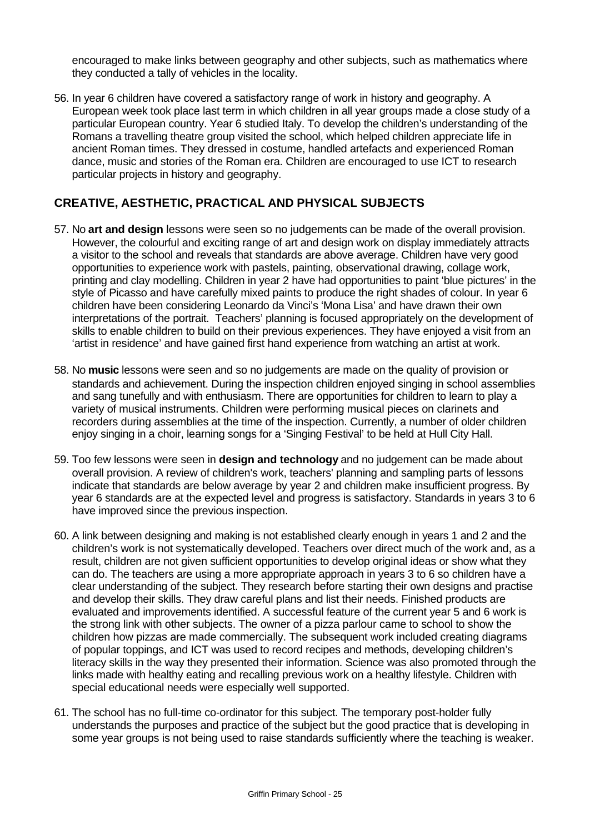encouraged to make links between geography and other subjects, such as mathematics where they conducted a tally of vehicles in the locality.

56. In year 6 children have covered a satisfactory range of work in history and geography. A European week took place last term in which children in all year groups made a close study of a particular European country. Year 6 studied Italy. To develop the children's understanding of the Romans a travelling theatre group visited the school, which helped children appreciate life in ancient Roman times. They dressed in costume, handled artefacts and experienced Roman dance, music and stories of the Roman era. Children are encouraged to use ICT to research particular projects in history and geography.

# **CREATIVE, AESTHETIC, PRACTICAL AND PHYSICAL SUBJECTS**

- 57. No **art and design** lessons were seen so no judgements can be made of the overall provision. However, the colourful and exciting range of art and design work on display immediately attracts a visitor to the school and reveals that standards are above average. Children have very good opportunities to experience work with pastels, painting, observational drawing, collage work, printing and clay modelling. Children in year 2 have had opportunities to paint 'blue pictures' in the style of Picasso and have carefully mixed paints to produce the right shades of colour. In year 6 children have been considering Leonardo da Vinci's 'Mona Lisa' and have drawn their own interpretations of the portrait. Teachers' planning is focused appropriately on the development of skills to enable children to build on their previous experiences. They have enjoyed a visit from an 'artist in residence' and have gained first hand experience from watching an artist at work.
- 58. No **music** lessons were seen and so no judgements are made on the quality of provision or standards and achievement. During the inspection children enjoyed singing in school assemblies and sang tunefully and with enthusiasm. There are opportunities for children to learn to play a variety of musical instruments. Children were performing musical pieces on clarinets and recorders during assemblies at the time of the inspection. Currently, a number of older children enjoy singing in a choir, learning songs for a 'Singing Festival' to be held at Hull City Hall.
- 59. Too few lessons were seen in **design and technology** and no judgement can be made about overall provision. A review of children's work, teachers' planning and sampling parts of lessons indicate that standards are below average by year 2 and children make insufficient progress. By year 6 standards are at the expected level and progress is satisfactory. Standards in years 3 to 6 have improved since the previous inspection.
- 60. A link between designing and making is not established clearly enough in years 1 and 2 and the children's work is not systematically developed. Teachers over direct much of the work and, as a result, children are not given sufficient opportunities to develop original ideas or show what they can do. The teachers are using a more appropriate approach in years 3 to 6 so children have a clear understanding of the subject. They research before starting their own designs and practise and develop their skills. They draw careful plans and list their needs. Finished products are evaluated and improvements identified. A successful feature of the current year 5 and 6 work is the strong link with other subjects. The owner of a pizza parlour came to school to show the children how pizzas are made commercially. The subsequent work included creating diagrams of popular toppings, and ICT was used to record recipes and methods, developing children's literacy skills in the way they presented their information. Science was also promoted through the links made with healthy eating and recalling previous work on a healthy lifestyle. Children with special educational needs were especially well supported.
- 61. The school has no full-time co-ordinator for this subject. The temporary post-holder fully understands the purposes and practice of the subject but the good practice that is developing in some year groups is not being used to raise standards sufficiently where the teaching is weaker.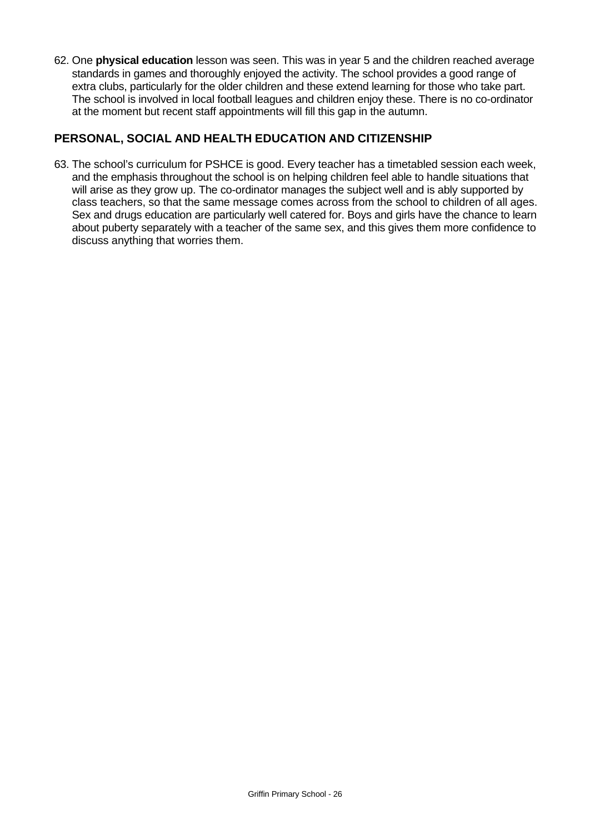62. One **physical education** lesson was seen. This was in year 5 and the children reached average standards in games and thoroughly enjoyed the activity. The school provides a good range of extra clubs, particularly for the older children and these extend learning for those who take part. The school is involved in local football leagues and children enjoy these. There is no co-ordinator at the moment but recent staff appointments will fill this gap in the autumn.

# **PERSONAL, SOCIAL AND HEALTH EDUCATION AND CITIZENSHIP**

63. The school's curriculum for PSHCE is good. Every teacher has a timetabled session each week, and the emphasis throughout the school is on helping children feel able to handle situations that will arise as they grow up. The co-ordinator manages the subject well and is ably supported by class teachers, so that the same message comes across from the school to children of all ages. Sex and drugs education are particularly well catered for. Boys and girls have the chance to learn about puberty separately with a teacher of the same sex, and this gives them more confidence to discuss anything that worries them.